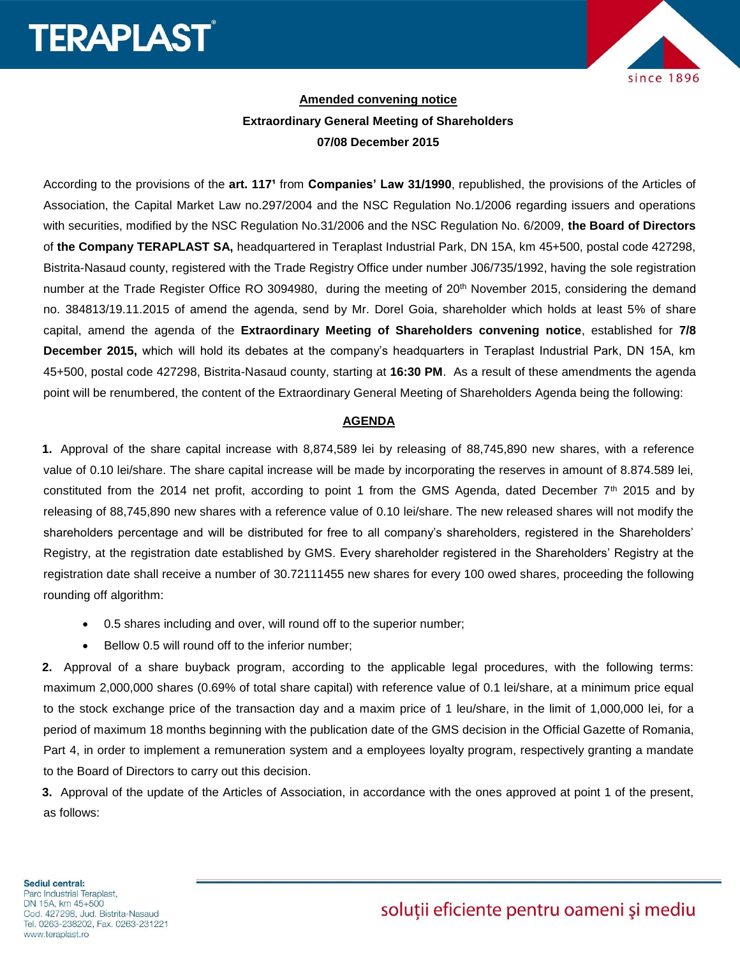## **TERAPLAST**



## **Amended convening notice Extraordinary General Meeting of Shareholders 07/08 December 2015**

According to the provisions of the art. 117<sup>1</sup> from **Companies' Law 31/1990**, republished, the provisions of the Articles of Association, the Capital Market Law no.297/2004 and the NSC Regulation No.1/2006 regarding issuers and operations with securities, modified by the NSC Regulation No.31/2006 and the NSC Regulation No. 6/2009, **the Board of Directors** of **the Company TERAPLAST SA,** headquartered in Teraplast Industrial Park, DN 15A, km 45+500, postal code 427298, Bistrita-Nasaud county, registered with the Trade Registry Office under number J06/735/1992, having the sole registration number at the Trade Register Office RO 3094980, during the meeting of 20<sup>th</sup> November 2015, considering the demand no. 384813/19.11.2015 of amend the agenda, send by Mr. Dorel Goia, shareholder which holds at least 5% of share capital, amend the agenda of the **Extraordinary Meeting of Shareholders convening notice**, established for **7/8 December 2015,** which will hold its debates at the company's headquarters in Teraplast Industrial Park, DN 15A, km 45+500, postal code 427298, Bistrita-Nasaud county, starting at **16:30 PM**. As a result of these amendments the agenda point will be renumbered, the content of the Extraordinary General Meeting of Shareholders Agenda being the following:

## **AGENDA**

**1.** Approval of the share capital increase with 8,874,589 lei by releasing of 88,745,890 new shares, with a reference value of 0.10 lei/share. The share capital increase will be made by incorporating the reserves in amount of 8.874.589 lei, constituted from the 2014 net profit, according to point 1 from the GMS Agenda, dated December 7<sup>th</sup> 2015 and by releasing of 88,745,890 new shares with a reference value of 0.10 lei/share. The new released shares will not modify the shareholders percentage and will be distributed for free to all company's shareholders, registered in the Shareholders' Registry, at the registration date established by GMS. Every shareholder registered in the Shareholders' Registry at the registration date shall receive a number of 30.72111455 new shares for every 100 owed shares, proceeding the following rounding off algorithm:

- 0.5 shares including and over, will round off to the superior number;
- Bellow 0.5 will round off to the inferior number;

**2.** Approval of a share buyback program, according to the applicable legal procedures, with the following terms: maximum 2,000,000 shares (0.69% of total share capital) with reference value of 0.1 lei/share, at a minimum price equal to the stock exchange price of the transaction day and a maxim price of 1 leu/share, in the limit of 1,000,000 lei, for a period of maximum 18 months beginning with the publication date of the GMS decision in the Official Gazette of Romania, Part 4, in order to implement a remuneration system and a employees loyalty program, respectively granting a mandate to the Board of Directors to carry out this decision.

**3.** Approval of the update of the Articles of Association, in accordance with the ones approved at point 1 of the present, as follows: